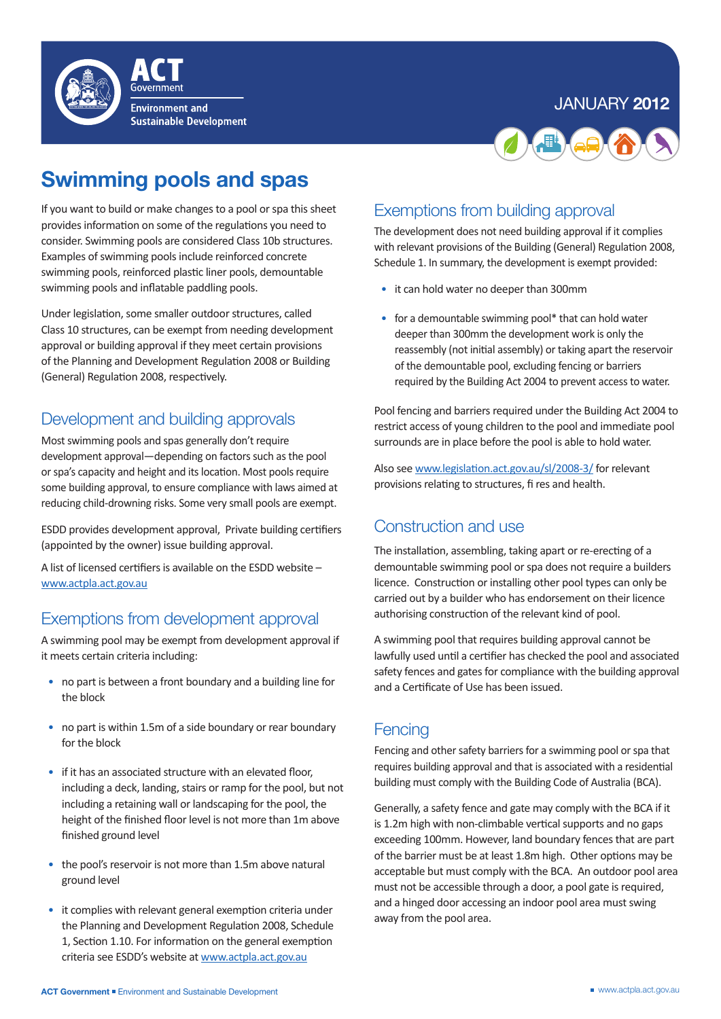#### January **2012**



**Environment and Sustainable Development** 

# **Swimming pools and spas**

If you want to build or make changes to a pool or spa this sheet provides information on some of the regulations you need to consider. Swimming pools are considered Class 10b structures. Examples of swimming pools include reinforced concrete swimming pools, reinforced plastic liner pools, demountable swimming pools and inflatable paddling pools.

Under legislation, some smaller outdoor structures, called Class 10 structures, can be exempt from needing development approval or building approval if they meet certain provisions of the Planning and Development Regulation 2008 or Building (General) Regulation 2008, respectively.

# Development and building approvals

Most swimming pools and spas generally don't require development approval—depending on factors such as the pool or spa's capacity and height and its location. Most pools require some building approval, to ensure compliance with laws aimed at reducing child-drowning risks. Some very small pools are exempt.

ESDD provides development approval, Private building certifiers (appointed by the owner) issue building approval.

A list of licensed certifiers is available on the ESDD website – www.actpla.act.gov.au

### Exemptions from development approval

A swimming pool may be exempt from development approval if it meets certain criteria including:

- no part is between a front boundary and a building line for the block
- no part is within 1.5m of a side boundary or rear boundary for the block
- if it has an associated structure with an elevated floor, including a deck, landing, stairs or ramp for the pool, but not including a retaining wall or landscaping for the pool, the height of the finished floor level is not more than 1m above finished ground level
- the pool's reservoir is not more than 1.5m above natural ground level
- it complies with relevant general exemption criteria under the Planning and Development Regulation 2008, Schedule 1, Section 1.10. For information on the general exemption criteria see ESDD's website at www.actpla.act.gov.au

# Exemptions from building approval

The development does not need building approval if it complies with relevant provisions of the Building (General) Regulation 2008, Schedule 1. In summary, the development is exempt provided:

- it can hold water no deeper than 300mm
- for a demountable swimming pool\* that can hold water deeper than 300mm the development work is only the reassembly (not initial assembly) or taking apart the reservoir of the demountable pool, excluding fencing or barriers required by the Building Act 2004 to prevent access to water.

Pool fencing and barriers required under the Building Act 2004 to restrict access of young children to the pool and immediate pool surrounds are in place before the pool is able to hold water.

Also see www.legislation.act.gov.au/sl/2008-3/ for relevant provisions relating to structures, fi res and health.

## Construction and use

The installation, assembling, taking apart or re-erecting of a demountable swimming pool or spa does not require a builders licence. Construction or installing other pool types can only be carried out by a builder who has endorsement on their licence authorising construction of the relevant kind of pool.

A swimming pool that requires building approval cannot be lawfully used until a certifier has checked the pool and associated safety fences and gates for compliance with the building approval and a Certificate of Use has been issued.

### **Fencing**

Fencing and other safety barriers for a swimming pool or spa that requires building approval and that is associated with a residential building must comply with the Building Code of Australia (BCA).

Generally, a safety fence and gate may comply with the BCA if it is 1.2m high with non-climbable vertical supports and no gaps exceeding 100mm. However, land boundary fences that are part of the barrier must be at least 1.8m high. Other options may be acceptable but must comply with the BCA. An outdoor pool area must not be accessible through a door, a pool gate is required, and a hinged door accessing an indoor pool area must swing away from the pool area.